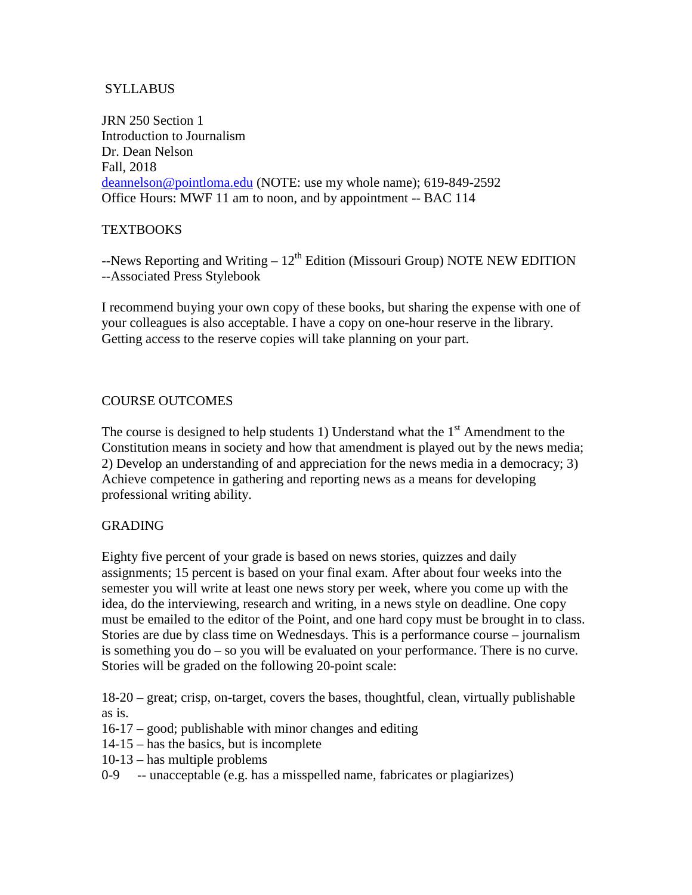# SYLLABUS

JRN 250 Section 1 Introduction to Journalism Dr. Dean Nelson Fall, 2018 [deannelson@pointloma.edu](mailto:deannelson@pointloma.edu) (NOTE: use my whole name); 619-849-2592 Office Hours: MWF 11 am to noon, and by appointment -- BAC 114

## **TEXTBOOKS**

 $-$ News Reporting and Writing –  $12<sup>th</sup>$  Edition (Missouri Group) NOTE NEW EDITION --Associated Press Stylebook

I recommend buying your own copy of these books, but sharing the expense with one of your colleagues is also acceptable. I have a copy on one-hour reserve in the library. Getting access to the reserve copies will take planning on your part.

## COURSE OUTCOMES

The course is designed to help students 1) Understand what the  $1<sup>st</sup>$  Amendment to the Constitution means in society and how that amendment is played out by the news media; 2) Develop an understanding of and appreciation for the news media in a democracy; 3) Achieve competence in gathering and reporting news as a means for developing professional writing ability.

## GRADING

Eighty five percent of your grade is based on news stories, quizzes and daily assignments; 15 percent is based on your final exam. After about four weeks into the semester you will write at least one news story per week, where you come up with the idea, do the interviewing, research and writing, in a news style on deadline. One copy must be emailed to the editor of the Point, and one hard copy must be brought in to class. Stories are due by class time on Wednesdays. This is a performance course – journalism is something you do – so you will be evaluated on your performance. There is no curve. Stories will be graded on the following 20-point scale:

18-20 – great; crisp, on-target, covers the bases, thoughtful, clean, virtually publishable as is.

- 16-17 good; publishable with minor changes and editing
- 14-15 has the basics, but is incomplete
- 10-13 has multiple problems
- 0-9 -- unacceptable (e.g. has a misspelled name, fabricates or plagiarizes)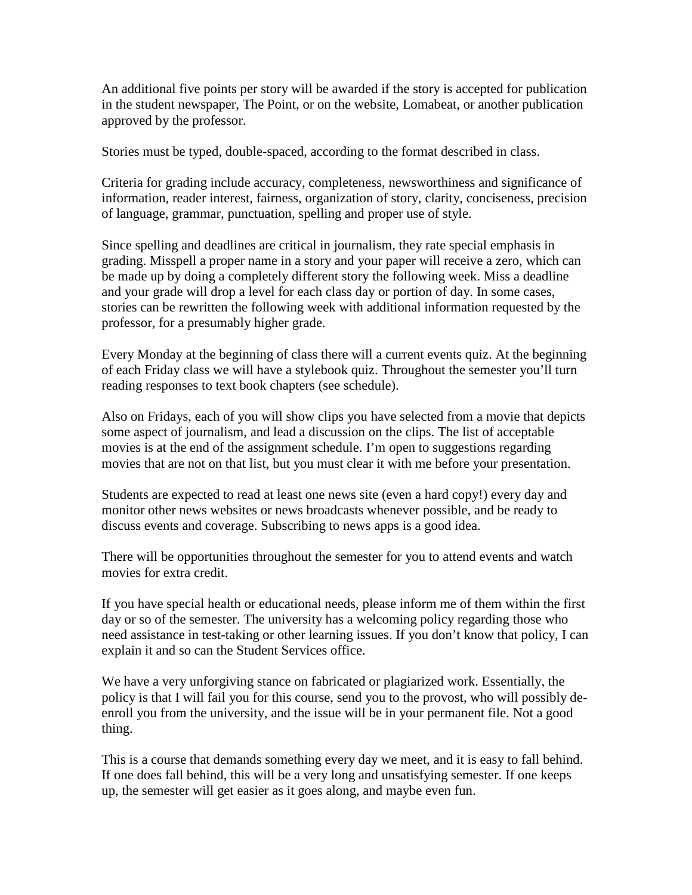An additional five points per story will be awarded if the story is accepted for publication in the student newspaper, The Point, or on the website, Lomabeat, or another publication approved by the professor.

Stories must be typed, double-spaced, according to the format described in class.

Criteria for grading include accuracy, completeness, newsworthiness and significance of information, reader interest, fairness, organization of story, clarity, conciseness, precision of language, grammar, punctuation, spelling and proper use of style.

Since spelling and deadlines are critical in journalism, they rate special emphasis in grading. Misspell a proper name in a story and your paper will receive a zero, which can be made up by doing a completely different story the following week. Miss a deadline and your grade will drop a level for each class day or portion of day. In some cases, stories can be rewritten the following week with additional information requested by the professor, for a presumably higher grade.

Every Monday at the beginning of class there will a current events quiz. At the beginning of each Friday class we will have a stylebook quiz. Throughout the semester you'll turn reading responses to text book chapters (see schedule).

Also on Fridays, each of you will show clips you have selected from a movie that depicts some aspect of journalism, and lead a discussion on the clips. The list of acceptable movies is at the end of the assignment schedule. I'm open to suggestions regarding movies that are not on that list, but you must clear it with me before your presentation.

Students are expected to read at least one news site (even a hard copy!) every day and monitor other news websites or news broadcasts whenever possible, and be ready to discuss events and coverage. Subscribing to news apps is a good idea.

There will be opportunities throughout the semester for you to attend events and watch movies for extra credit.

If you have special health or educational needs, please inform me of them within the first day or so of the semester. The university has a welcoming policy regarding those who need assistance in test-taking or other learning issues. If you don't know that policy, I can explain it and so can the Student Services office.

We have a very unforgiving stance on fabricated or plagiarized work. Essentially, the policy is that I will fail you for this course, send you to the provost, who will possibly deenroll you from the university, and the issue will be in your permanent file. Not a good thing.

This is a course that demands something every day we meet, and it is easy to fall behind. If one does fall behind, this will be a very long and unsatisfying semester. If one keeps up, the semester will get easier as it goes along, and maybe even fun.